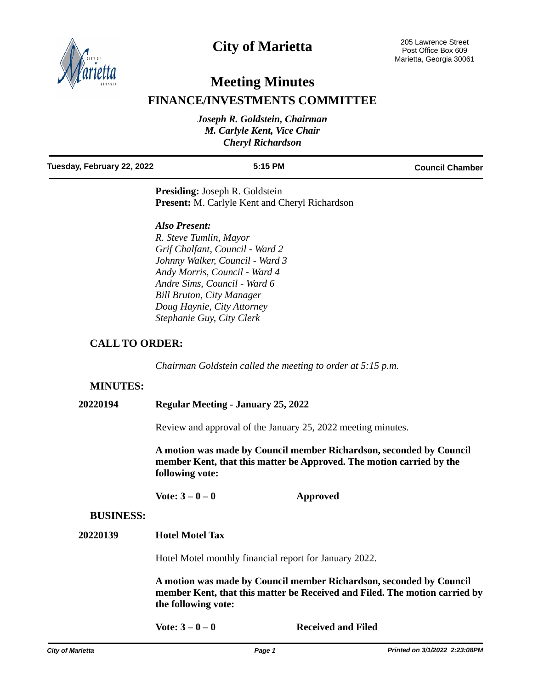

## **City of Marietta**

# **Meeting Minutes**

## **FINANCE/INVESTMENTS COMMITTEE**

| Joseph R. Goldstein, Chairman |
|-------------------------------|
| M. Carlyle Kent, Vice Chair   |
| <b>Cheryl Richardson</b>      |
|                               |
|                               |

#### **Tuesday, February 22, 2022 5:15 PM Council Chamber**

**Presiding:** Joseph R. Goldstein **Present:** M. Carlyle Kent and Cheryl Richardson

#### *Also Present:*

*R. Steve Tumlin, Mayor Grif Chalfant, Council - Ward 2 Johnny Walker, Council - Ward 3 Andy Morris, Council - Ward 4 Andre Sims, Council - Ward 6 Bill Bruton, City Manager Doug Haynie, City Attorney Stephanie Guy, City Clerk*

### **CALL TO ORDER:**

*Chairman Goldstein called the meeting to order at 5:15 p.m.*

### **MINUTES:**

**20220194 Regular Meeting - January 25, 2022**

Review and approval of the January 25, 2022 meeting minutes.

**A motion was made by Council member Richardson, seconded by Council member Kent, that this matter be Approved. The motion carried by the following vote:**

**Vote: 3 – 0 – 0 Approved**

#### **BUSINESS:**

**20220139 Hotel Motel Tax**

Hotel Motel monthly financial report for January 2022.

**A motion was made by Council member Richardson, seconded by Council member Kent, that this matter be Received and Filed. The motion carried by the following vote:**

**Vote: 3 – 0 – 0 Received and Filed**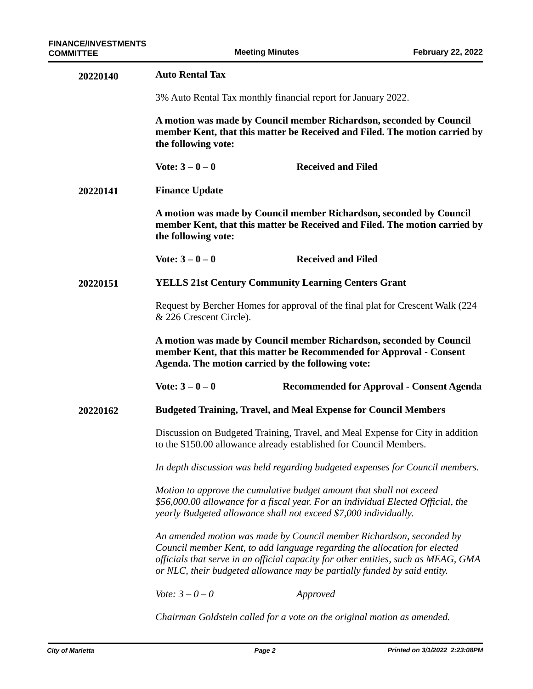| 20220140 | <b>Auto Rental Tax</b>                                                                                                                                                                                                                                                                                              |                                           |  |  |
|----------|---------------------------------------------------------------------------------------------------------------------------------------------------------------------------------------------------------------------------------------------------------------------------------------------------------------------|-------------------------------------------|--|--|
|          | 3% Auto Rental Tax monthly financial report for January 2022.                                                                                                                                                                                                                                                       |                                           |  |  |
|          | A motion was made by Council member Richardson, seconded by Council<br>member Kent, that this matter be Received and Filed. The motion carried by<br>the following vote:                                                                                                                                            |                                           |  |  |
|          | Vote: $3 - 0 - 0$                                                                                                                                                                                                                                                                                                   | <b>Received and Filed</b>                 |  |  |
| 20220141 | <b>Finance Update</b>                                                                                                                                                                                                                                                                                               |                                           |  |  |
|          | A motion was made by Council member Richardson, seconded by Council<br>member Kent, that this matter be Received and Filed. The motion carried by<br>the following vote:                                                                                                                                            |                                           |  |  |
|          | Vote: $3 - 0 - 0$                                                                                                                                                                                                                                                                                                   | <b>Received and Filed</b>                 |  |  |
| 20220151 | <b>YELLS 21st Century Community Learning Centers Grant</b>                                                                                                                                                                                                                                                          |                                           |  |  |
|          | Request by Bercher Homes for approval of the final plat for Crescent Walk (224)<br>& 226 Crescent Circle).                                                                                                                                                                                                          |                                           |  |  |
|          | A motion was made by Council member Richardson, seconded by Council<br>member Kent, that this matter be Recommended for Approval - Consent<br>Agenda. The motion carried by the following vote:                                                                                                                     |                                           |  |  |
|          | Vote: $3 - 0 - 0$                                                                                                                                                                                                                                                                                                   | Recommended for Approval - Consent Agenda |  |  |
| 20220162 | <b>Budgeted Training, Travel, and Meal Expense for Council Members</b>                                                                                                                                                                                                                                              |                                           |  |  |
|          | Discussion on Budgeted Training, Travel, and Meal Expense for City in addition<br>to the \$150.00 allowance already established for Council Members.                                                                                                                                                                |                                           |  |  |
|          | In depth discussion was held regarding budgeted expenses for Council members.                                                                                                                                                                                                                                       |                                           |  |  |
|          | Motion to approve the cumulative budget amount that shall not exceed<br>\$56,000.00 allowance for a fiscal year. For an individual Elected Official, the<br>yearly Budgeted allowance shall not exceed \$7,000 individually.                                                                                        |                                           |  |  |
|          | An amended motion was made by Council member Richardson, seconded by<br>Council member Kent, to add language regarding the allocation for elected<br>officials that serve in an official capacity for other entities, such as MEAG, GMA<br>or NLC, their budgeted allowance may be partially funded by said entity. |                                           |  |  |
|          | <i>Vote:</i> $3 - 0 - 0$                                                                                                                                                                                                                                                                                            | Approved                                  |  |  |
|          | Chairman Goldstein called for a vote on the original motion as amended.                                                                                                                                                                                                                                             |                                           |  |  |